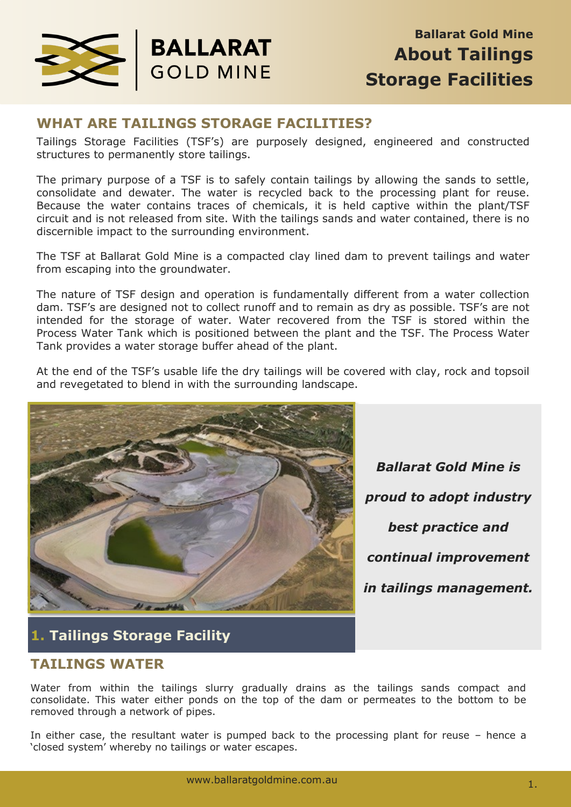

### **WHAT ARE TAILINGS STORAGE FACILITIES?**

**BALLARAT** 

**GOLD MINE** 

Tailings Storage Facilities (TSF's) are purposely designed, engineered and constructed structures to permanently store tailings.

The primary purpose of a TSF is to safely contain tailings by allowing the sands to settle, consolidate and dewater. The water is recycled back to the processing plant for reuse. Because the water contains traces of chemicals, it is held captive within the plant/TSF circuit and is not released from site. With the tailings sands and water contained, there is no discernible impact to the surrounding environment.

The TSF at Ballarat Gold Mine is a compacted clay lined dam to prevent tailings and water from escaping into the groundwater.

The nature of TSF design and operation is fundamentally different from a water collection dam. TSF's are designed not to collect runoff and to remain as dry as possible. TSF's are not intended for the storage of water. Water recovered from the TSF is stored within the Process Water Tank which is positioned between the plant and the TSF. The Process Water Tank provides a water storage buffer ahead of the plant.

At the end of the TSF's usable life the dry tailings will be covered with clay, rock and topsoil and revegetated to blend in with the surrounding landscape.



*Ballarat Gold Mine is proud to adopt industry best practice and continual improvement in tailings management.*

# **1. Tailings Storage Facility**

#### **TAILINGS WATER**

Water from within the tailings slurry gradually drains as the tailings sands compact and consolidate. This water either ponds on the top of the dam or permeates to the bottom to be removed through a network of pipes.

In either case, the resultant water is pumped back to the processing plant for reuse – hence a 'closed system' whereby no tailings or water escapes.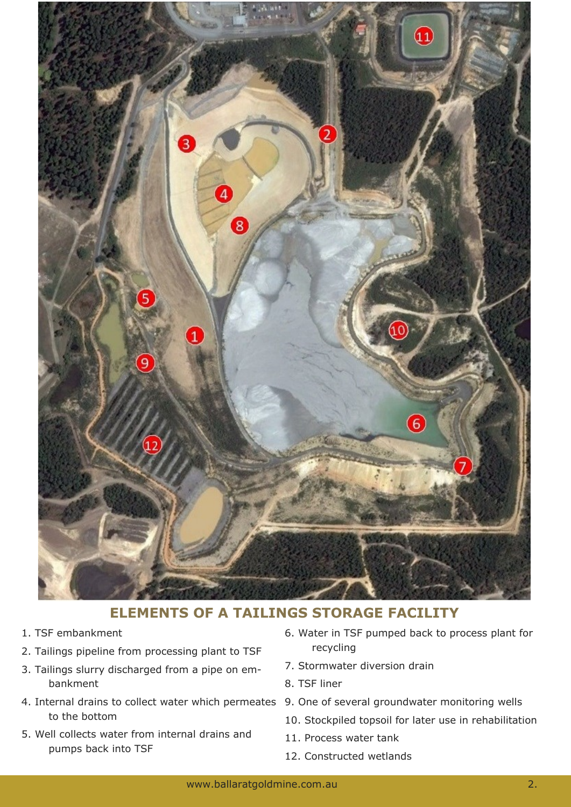

### **ELEMENTS OF A TAILINGS STORAGE FACILITY**

- 1. TSF embankment
- 2. Tailings pipeline from processing plant to TSF
- 3. Tailings slurry discharged from a pipe on embankment
- 4. Internal drains to collect water which permeates 9. One of several groundwater monitoring wells to the bottom
- 5. Well collects water from internal drains and pumps back into TSF
- 6. Water in TSF pumped back to process plant for recycling
- 7. Stormwater diversion drain
- 8. TSF liner
- 
- 10. Stockpiled topsoil for later use in rehabilitation
- 11. Process water tank
- 12. Constructed wetlands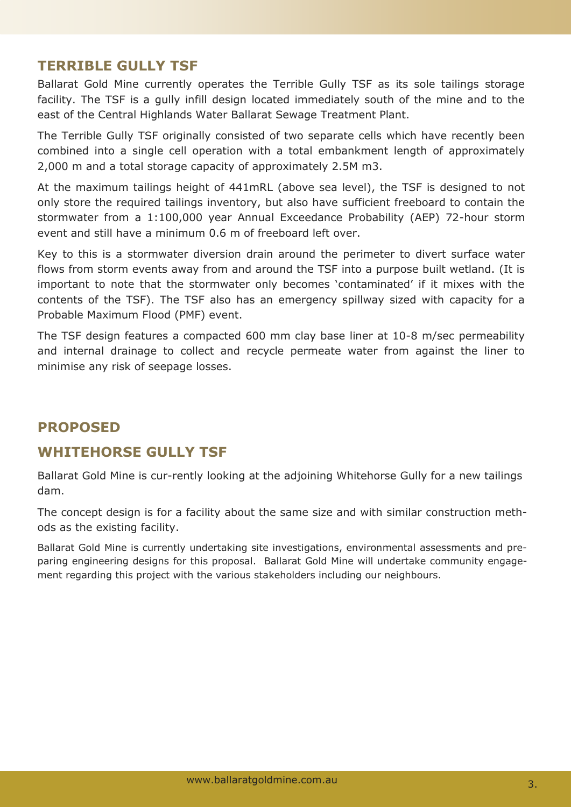### **TERRIBLE GULLY TSF**

Ballarat Gold Mine currently operates the Terrible Gully TSF as its sole tailings storage facility. The TSF is a gully infill design located immediately south of the mine and to the east of the Central Highlands Water Ballarat Sewage Treatment Plant.

The Terrible Gully TSF originally consisted of two separate cells which have recently been combined into a single cell operation with a total embankment length of approximately 2,000 m and a total storage capacity of approximately 2.5M m3.

At the maximum tailings height of 441mRL (above sea level), the TSF is designed to not only store the required tailings inventory, but also have sufficient freeboard to contain the stormwater from a 1:100,000 year Annual Exceedance Probability (AEP) 72-hour storm event and still have a minimum 0.6 m of freeboard left over.

Key to this is a stormwater diversion drain around the perimeter to divert surface water flows from storm events away from and around the TSF into a purpose built wetland. (It is important to note that the stormwater only becomes 'contaminated' if it mixes with the contents of the TSF). The TSF also has an emergency spillway sized with capacity for a Probable Maximum Flood (PMF) event.

The TSF design features a compacted 600 mm clay base liner at 10-8 m/sec permeability and internal drainage to collect and recycle permeate water from against the liner to minimise any risk of seepage losses.

## **PROPOSED**

### **WHITEHORSE GULLY TSF**

Ballarat Gold Mine is cur-rently looking at the adjoining Whitehorse Gully for a new tailings dam.

The concept design is for a facility about the same size and with similar construction methods as the existing facility.

Ballarat Gold Mine is currently undertaking site investigations, environmental assessments and preparing engineering designs for this proposal. Ballarat Gold Mine will undertake community engagement regarding this project with the various stakeholders including our neighbours.